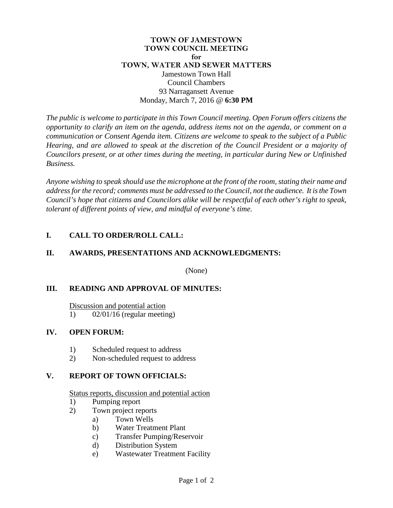## **TOWN OF JAMESTOWN TOWN COUNCIL MEETING for TOWN, WATER AND SEWER MATTERS** Jamestown Town Hall Council Chambers 93 Narragansett Avenue Monday, March 7, 2016 @ **6:30 PM**

*The public is welcome to participate in this Town Council meeting. Open Forum offers citizens the opportunity to clarify an item on the agenda, address items not on the agenda, or comment on a communication or Consent Agenda item. Citizens are welcome to speak to the subject of a Public Hearing, and are allowed to speak at the discretion of the Council President or a majority of Councilors present, or at other times during the meeting, in particular during New or Unfinished Business.* 

*Anyone wishing to speak should use the microphone at the front of the room, stating their name and address for the record; comments must be addressed to the Council, not the audience. It is the Town Council's hope that citizens and Councilors alike will be respectful of each other's right to speak, tolerant of different points of view, and mindful of everyone's time.*

## **I. CALL TO ORDER/ROLL CALL:**

# **II. AWARDS, PRESENTATIONS AND ACKNOWLEDGMENTS:**

(None)

## **III. READING AND APPROVAL OF MINUTES:**

Discussion and potential action 1) 02/01/16 (regular meeting)

## **IV. OPEN FORUM:**

- 1) Scheduled request to address
- 2) Non-scheduled request to address

# **V. REPORT OF TOWN OFFICIALS:**

Status reports, discussion and potential action

- 1) Pumping report
- 2) Town project reports
	- a) Town Wells
		- b) Water Treatment Plant
		- c) Transfer Pumping/Reservoir
		- d) Distribution System
		- e) Wastewater Treatment Facility